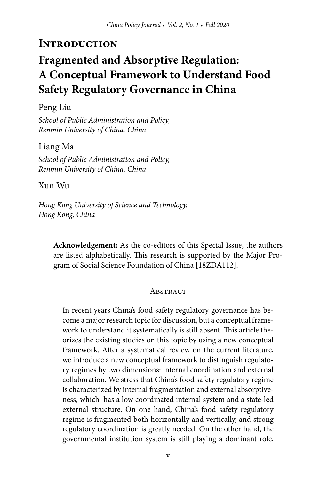# **Fragmented and Absorptive Regulation: A Conceptual Framework to Understand Food Safety Regulatory Governance in China**

Peng Liu

*School of Public Administration and Policy, Renmin University of China, China*

Liang Ma *School of Public Administration and Policy, Renmin University of China, China*

Xun Wu

*Hong Kong University of Science and Technology, Hong Kong, China*

**Acknowledgement:** As the co-editors of this Special Issue, the authors are listed alphabetically. This research is supported by the Major Program of Social Science Foundation of China [18ZDA112].

### **ABSTRACT**

In recent years China's food safety regulatory governance has become a major research topic for discussion, but a conceptual framework to understand it systematically is still absent. This article theorizes the existing studies on this topic by using a new conceptual framework. After a systematical review on the current literature, we introduce a new conceptual framework to distinguish regulatory regimes by two dimensions: internal coordination and external collaboration. We stress that China's food safety regulatory regime is characterized by internal fragmentation and external absorptiveness, which has a low coordinated internal system and a state-led external structure. On one hand, China's food safety regulatory regime is fragmented both horizontally and vertically, and strong regulatory coordination is greatly needed. On the other hand, the governmental institution system is still playing a dominant role,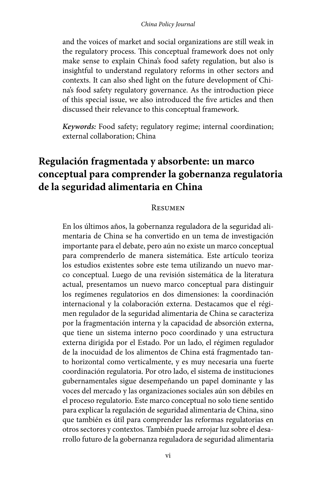### *China Policy Journal*

and the voices of market and social organizations are still weak in the regulatory process. This conceptual framework does not only make sense to explain China's food safety regulation, but also is insightful to understand regulatory reforms in other sectors and contexts. It can also shed light on the future development of China's food safety regulatory governance. As the introduction piece of this special issue, we also introduced the five articles and then discussed their relevance to this conceptual framework.

*Keywords:* Food safety; regulatory regime; internal coordination; external collaboration; China

# **Regulación fragmentada y absorbente: un marco conceptual para comprender la gobernanza regulatoria de la seguridad alimentaria en China**

### Resumen

En los últimos años, la gobernanza reguladora de la seguridad alimentaria de China se ha convertido en un tema de investigación importante para el debate, pero aún no existe un marco conceptual para comprenderlo de manera sistemática. Este artículo teoriza los estudios existentes sobre este tema utilizando un nuevo marco conceptual. Luego de una revisión sistemática de la literatura actual, presentamos un nuevo marco conceptual para distinguir los regímenes regulatorios en dos dimensiones: la coordinación internacional y la colaboración externa. Destacamos que el régimen regulador de la seguridad alimentaria de China se caracteriza por la fragmentación interna y la capacidad de absorción externa, que tiene un sistema interno poco coordinado y una estructura externa dirigida por el Estado. Por un lado, el régimen regulador de la inocuidad de los alimentos de China está fragmentado tanto horizontal como verticalmente, y es muy necesaria una fuerte coordinación regulatoria. Por otro lado, el sistema de instituciones gubernamentales sigue desempeñando un papel dominante y las voces del mercado y las organizaciones sociales aún son débiles en el proceso regulatorio. Este marco conceptual no solo tiene sentido para explicar la regulación de seguridad alimentaria de China, sino que también es útil para comprender las reformas regulatorias en otros sectores y contextos. También puede arrojar luz sobre el desarrollo futuro de la gobernanza reguladora de seguridad alimentaria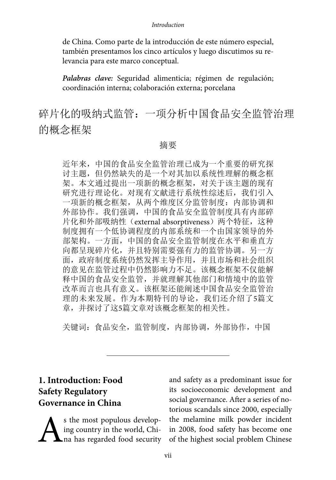de China. Como parte de la introducción de este número especial, también presentamos los cinco artículos y luego discutimos su relevancia para este marco conceptual.

*Palabras clave:* Seguridad alimenticia; régimen de regulación; coordinación interna; colaboración externa; porcelana

碎片化的吸纳式监管:一项分析中国食品安全监管治理 的概念框架

### 摘要

近年来,中国的食品安全监管治理已成为一个重要的研究探 讨主题,但仍然缺失的是一个对其加以系统性理解的概念框 架。本文通过提出一项新的概念框架,对关于该主题的现有 研究进行理论化。对现有文献进行系统性综述后,我们引入 一项新的概念框架,从两个维度区分监管制度:内部协调和 外部协作。我们强调,中国的食品安全监管制度具有内部碎 片化和外部吸纳性(external absorptiveness)两个特征,这种 制度拥有一个低协调程度的内部系统和一个由国家领导的外 部架构。一方面,中国的食品安全监管制度在水平和垂直方 向都呈现碎片化,并且特别需要强有力的监管协调。另一方 面,政府制度系统仍然发挥主导作用,并且市场和社会组织 的意见在监管过程中仍然影响力不足。该概念框架不仅能解 释中国的食品安全监管,并就理解其他部门和情境中的监管 改革而言也具有意义。该框架还能阐述中国食品安全监管治 理的未来发展。作为本期特刊的导论, 我们还介绍了5篇文 章,并探讨了这5篇文章对该概念框架的相关性。

关键词:食品安全,监管制度,内部协调,外部协作,中国

# **1. Introduction: Food Safety Regulatory Governance in China**

S the most populous develop-<br>ing country in the world, Chi-<br>ha has regarded food security ing country in the world, China has regarded food security and safety as a predominant issue for its socioeconomic development and social governance. After a series of notorious scandals since 2000, especially the melamine milk powder incident in 2008, food safety has become one of the highest social problem Chinese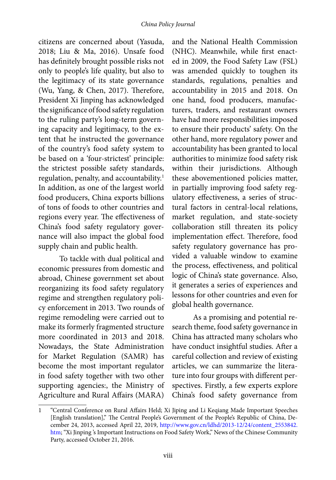citizens are concerned about (Yasuda, 2018; Liu & Ma, 2016). Unsafe food has definitely brought possible risks not only to people's life quality, but also to the legitimacy of its state governance (Wu, Yang, & Chen, 2017). Therefore, President Xi Jinping has acknowledged the significance of food safety regulation to the ruling party's long-term governing capacity and legitimacy, to the extent that he instructed the governance of the country's food safety system to be based on a 'four-strictest' principle: the strictest possible safety standards, regulation, penalty, and accountability.<sup>1</sup> In addition, as one of the largest world food producers, China exports billions of tons of foods to other countries and regions every year. The effectiveness of China's food safety regulatory governance will also impact the global food supply chain and public health.

To tackle with dual political and economic pressures from domestic and abroad, Chinese government set about reorganizing its food safety regulatory regime and strengthen regulatory policy enforcement in 2013. Two rounds of regime remodeling were carried out to make its formerly fragmented structure more coordinated in 2013 and 2018. Nowadays, the State Administration for Market Regulation (SAMR) has become the most important regulator in food safety together with two other supporting agencies:, the Ministry of Agriculture and Rural Affairs (MARA)

and the National Health Commission (NHC). Meanwhile, while first enacted in 2009, the Food Safety Law (FSL) was amended quickly to toughen its standards, regulations, penalties and accountability in 2015 and 2018. On one hand, food producers, manufacturers, traders, and restaurant owners have had more responsibilities imposed to ensure their products' safety. On the other hand, more regulatory power and accountability has been granted to local authorities to minimize food safety risk within their jurisdictions. Although these abovementioned policies matter, in partially improving food safety regulatory effectiveness, a series of structural factors in central-local relations, market regulation, and state-society collaboration still threaten its policy implementation effect. Therefore, food safety regulatory governance has provided a valuable window to examine the process, effectiveness, and political logic of China's state governance. Also, it generates a series of experiences and lessons for other countries and even for global health governance.

As a promising and potential research theme, food safety governance in China has attracted many scholars who have conduct insightful studies. After a careful collection and review of existing articles, we can summarize the literature into four groups with different perspectives. Firstly, a few experts explore China's food safety governance from

<sup>1</sup> "Central Conference on Rural Affairs Held; Xi Jiping and Li Keqiang Made Important Speeches [English translation]," The Central People's Government of the People's Republic of China, December 24, 2013, accessed April 22, 2019, [http://www.gov.cn/ldhd/2013-12/24/content\\_2553842.](http://www.gov.cn/ldhd/2013-12/24/content_2553842.htm) [htm](http://www.gov.cn/ldhd/2013-12/24/content_2553842.htm); "Xi Jinping's Important Instructions on Food Safety Work," News of the Chinese Community Party, accessed October 21, 2016.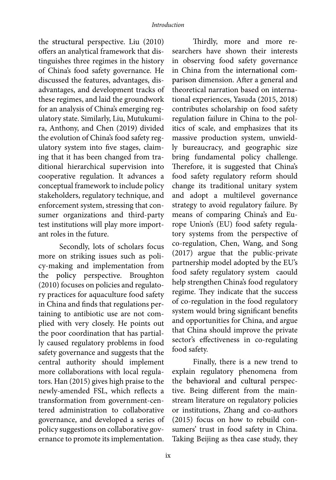the structural perspective. Liu (2010) offers an analytical framework that distinguishes three regimes in the history of China's food safety governance. He discussed the features, advantages, disadvantages, and development tracks of these regimes, and laid the groundwork for an analysis of China's emerging regulatory state. Similarly, Liu, Mutukumira, Anthony, and Chen (2019) divided the evolution of China's food safety regulatory system into five stages, claiming that it has been changed from traditional hierarchical supervision into cooperative regulation. It advances a conceptual framework to include policy stakeholders, regulatory technique, and enforcement system, stressing that consumer organizations and third-party test institutions will play more important roles in the future.

Secondly, lots of scholars focus more on striking issues such as policy-making and implementation from the policy perspective. Broughton (2010) focuses on policies and regulatory practices for aquaculture food safety in China and finds that regulations pertaining to antibiotic use are not complied with very closely. He points out the poor coordination that has partially caused regulatory problems in food safety governance and suggests that the central authority should implement more collaborations with local regulators. Han (2015) gives high praise to the newly-amended FSL, which reflects a transformation from government-centered administration to collaborative governance, and developed a series of policy suggestions on collaborative governance to promote its implementation.

Thirdly, more and more researchers have shown their interests in observing food safety governance in China from the international comparison dimension. After a general and theoretical narration based on international experiences, Yasuda (2015, 2018) contributes scholarship on food safety regulation failure in China to the politics of scale, and emphasizes that its massive production system, unwieldly bureaucracy, and geographic size bring fundamental policy challenge. Therefore, it is suggested that China's food safety regulatory reform should change its traditional unitary system and adopt a multilevel governance strategy to avoid regulatory failure. By means of comparing China's and Europe Union's (EU) food safety regulatory systems from the perspective of co-regulation, Chen, Wang, and Song (2017) argue that the public-private partnership model adopted by the EU's food safety regulatory system caould help strengthen China's food regulatory regime. They indicate that the success of co-regulation in the food regulatory system would bring significant benefits and opportunities for China, and argue that China should improve the private sector's effectiveness in co-regulating food safety.

Finally, there is a new trend to explain regulatory phenomena from the behavioral and cultural perspective. Being different from the mainstream literature on regulatory policies or institutions, Zhang and co-authors (2015) focus on how to rebuild consumers' trust in food safety in China. Taking Beijing as thea case study, they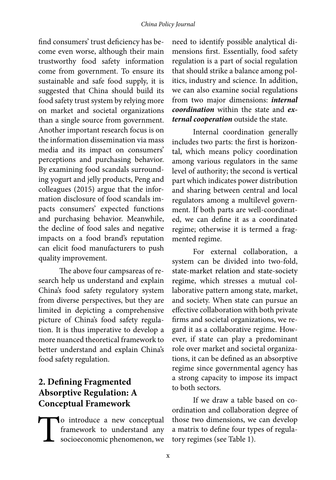find consumers' trust deficiency has become even worse, although their main trustworthy food safety information come from government. To ensure its sustainable and safe food supply, it is suggested that China should build its food safety trust system by relying more on market and societal organizations than a single source from government. Another important research focus is on the information dissemination via mass media and its impact on consumers' perceptions and purchasing behavior. By examining food scandals surrounding yogurt and jelly products, Peng and colleagues (2015) argue that the information disclosure of food scandals impacts consumers' expected functions and purchasing behavior. Meanwhile, the decline of food sales and negative impacts on a food brand's reputation can elicit food manufacturers to push quality improvement.

The above four campsareas of research help us understand and explain China's food safety regulatory system from diverse perspectives, but they are limited in depicting a comprehensive picture of China's food safety regulation. It is thus imperative to develop a more nuanced theoretical framework to better understand and explain China's food safety regulation.

# **2. Defining Fragmented Absorptive Regulation: A Conceptual Framework**

To introduce a new conceptual framework to understand any socioeconomic phenomenon, we

need to identify possible analytical dimensions first. Essentially, food safety regulation is a part of social regulation that should strike a balance among politics, industry and science. In addition, we can also examine social regulations from two major dimensions: *internal coordination* within the state and *external cooperation* outside the state.

Internal coordination generally includes two parts: the first is horizontal, which means policy coordination among various regulators in the same level of authority; the second is vertical part which indicates power distribution and sharing between central and local regulators among a multilevel government. If both parts are well-coordinated, we can define it as a coordinated regime; otherwise it is termed a fragmented regime.

For external collaboration, a system can be divided into two-fold, state-market relation and state-society regime, which stresses a mutual collaborative pattern among state, market, and society. When state can pursue an effective collaboration with both private firms and societal organizations, we regard it as a collaborative regime. However, if state can play a predominant role over market and societal organizations, it can be defined as an absorptive regime since governmental agency has a strong capacity to impose its impact to both sectors.

If we draw a table based on coordination and collaboration degree of those two dimensions, we can develop a matrix to define four types of regulatory regimes (see Table 1).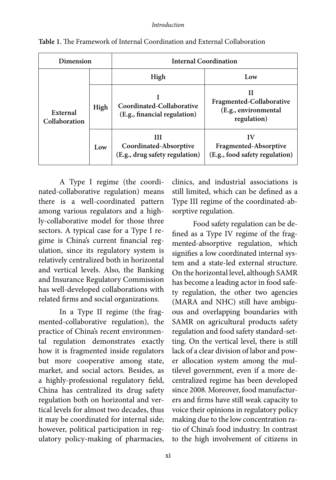| Dimension                 |      | Internal Coordination                                         |                                                                      |
|---------------------------|------|---------------------------------------------------------------|----------------------------------------------------------------------|
|                           |      | High                                                          | Low                                                                  |
| External<br>Collaboration | High | Coordinated-Collaborative<br>(E.g., financial regulation)     | Н<br>Fragmented-Collaborative<br>(E.g., environmental<br>regulation) |
|                           | Low  | ш<br>Coordinated-Absorptive<br>(E.g., drug safety regulation) | IV<br>Fragmented-Absorptive<br>(E.g., food safety regulation)        |

| Table 1. The Framework of Internal Coordination and External Collaboration |
|----------------------------------------------------------------------------|
|                                                                            |

A Type I regime (the coordinated-collaborative regulation) means there is a well-coordinated pattern among various regulators and a highly-collaborative model for those three sectors. A typical case for a Type I regime is China's current financial regulation, since its regulatory system is relatively centralized both in horizontal and vertical levels. Also, the Banking and Insurance Regulatory Commission has well-developed collaborations with related firms and social organizations.

In a Type II regime (the fragmented-collaborative regulation), the practice of China's recent environmental regulation demonstrates exactly how it is fragmented inside regulators but more cooperative among state, market, and social actors. Besides, as a highly-professional regulatory field, China has centralized its drug safety regulation both on horizontal and vertical levels for almost two decades, thus it may be coordinated for internal side; however, political participation in regulatory policy-making of pharmacies,

clinics, and industrial associations is still limited, which can be defined as a Type III regime of the coordinated-absorptive regulation.

Food safety regulation can be defined as a Type IV regime of the fragmented-absorptive regulation, which signifies a low coordinated internal system and a state-led external structure. On the horizontal level, although SAMR has become a leading actor in food safety regulation, the other two agencies (MARA and NHC) still have ambiguous and overlapping boundaries with SAMR on agricultural products safety regulation and food safety standard-setting. On the vertical level, there is still lack of a clear division of labor and power allocation system among the multilevel government, even if a more decentralized regime has been developed since 2008. Moreover, food manufacturers and firms have still weak capacity to voice their opinions in regulatory policy making due to the low concentration ratio of China's food industry. In contrast to the high involvement of citizens in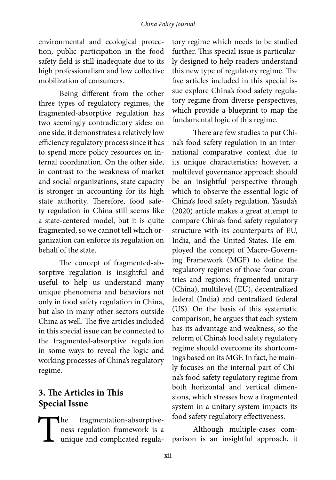### *China Policy Journal*

environmental and ecological protection, public participation in the food safety field is still inadequate due to its high professionalism and low collective mobilization of consumers.

Being different from the other three types of regulatory regimes, the fragmented-absorptive regulation has two seemingly contradictory sides: on one side, it demonstrates a relatively low efficiency regulatory process since it has to spend more policy resources on internal coordination. On the other side, in contrast to the weakness of market and social organizations, state capacity is stronger in accounting for its high state authority. Therefore, food safety regulation in China still seems like a state-centered model, but it is quite fragmented, so we cannot tell which organization can enforce its regulation on behalf of the state.

The concept of fragmented-absorptive regulation is insightful and useful to help us understand many unique phenomena and behaviors not only in food safety regulation in China, but also in many other sectors outside China as well. The five articles included in this special issue can be connected to the fragmented-absorptive regulation in some ways to reveal the logic and working processes of China's regulatory regime.

# **3. The Articles in This Special Issue**

The fragmentation-absorptive-<br>ness regulation framework is a<br>unique and complicated regulaness regulation framework is a unique and complicated regula-

tory regime which needs to be studied further. This special issue is particularly designed to help readers understand this new type of regulatory regime. The five articles included in this special issue explore China's food safety regulatory regime from diverse perspectives, which provide a blueprint to map the fundamental logic of this regime.

There are few studies to put China's food safety regulation in an international comparative context due to its unique characteristics; however, a multilevel governance approach should be an insightful perspective through which to observe the essential logic of China's food safety regulation. Yasuda's (2020) article makes a great attempt to compare China's food safety regulatory structure with its counterparts of EU, India, and the United States. He employed the concept of Macro-Governing Framework (MGF) to define the regulatory regimes of those four countries and regions: fragmented unitary (China), multilevel (EU), decentralized federal (India) and centralized federal (US). On the basis of this systematic comparison, he argues that each system has its advantage and weakness, so the reform of China's food safety regulatory regime should overcome its shortcomings based on its MGF. In fact, he mainly focuses on the internal part of China's food safety regulatory regime from both horizontal and vertical dimensions, which stresses how a fragmented system in a unitary system impacts its food safety regulatory effectiveness.

Although multiple-cases comparison is an insightful approach, it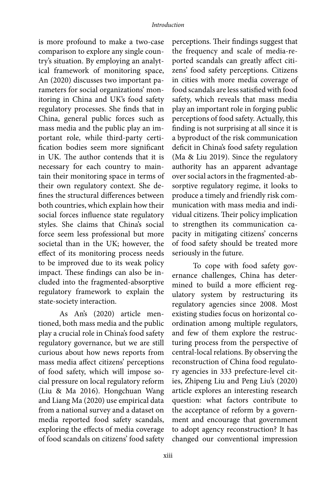is more profound to make a two-case comparison to explore any single country's situation. By employing an analytical framework of monitoring space, An (2020) discusses two important parameters for social organizations' monitoring in China and UK's food safety regulatory processes. She finds that in China, general public forces such as mass media and the public play an important role, while third-party certification bodies seem more significant in UK. The author contends that it is necessary for each country to maintain their monitoring space in terms of their own regulatory context. She defines the structural differences between both countries, which explain how their social forces influence state regulatory styles. She claims that China's social force seem less professional but more societal than in the UK; however, the effect of its monitoring process needs to be improved due to its weak policy impact. These findings can also be included into the fragmented-absorptive regulatory framework to explain the state-society interaction.

As An's (2020) article mentioned, both mass media and the public play a crucial role in China's food safety regulatory governance, but we are still curious about how news reports from mass media affect citizens' perceptions of food safety, which will impose social pressure on local regulatory reform (Liu & Ma 2016). Hongchuan Wang and Liang Ma (2020) use empirical data from a national survey and a dataset on media reported food safety scandals, exploring the effects of media coverage of food scandals on citizens' food safety

perceptions. Their findings suggest that the frequency and scale of media-reported scandals can greatly affect citizens' food safety perceptions. Citizens in cities with more media coverage of food scandals are less satisfied with food safety, which reveals that mass media play an important role in forging public perceptions of food safety. Actually, this finding is not surprising at all since it is a byproduct of the risk communication deficit in China's food safety regulation (Ma & Liu 2019). Since the regulatory authority has an apparent advantage over social actors in the fragmented-absorptive regulatory regime, it looks to produce a timely and friendly risk communication with mass media and individual citizens. Their policy implication to strengthen its communication capacity in mitigating citizens' concerns of food safety should be treated more seriously in the future.

To cope with food safety governance challenges, China has determined to build a more efficient regulatory system by restructuring its regulatory agencies since 2008. Most existing studies focus on horizontal coordination among multiple regulators, and few of them explore the restructuring process from the perspective of central-local relations. By observing the reconstruction of China food regulatory agencies in 333 prefecture-level cities, Zhipeng Liu and Peng Liu's (2020) article explores an interesting research question: what factors contribute to the acceptance of reform by a government and encourage that government to adopt agency reconstruction? It has changed our conventional impression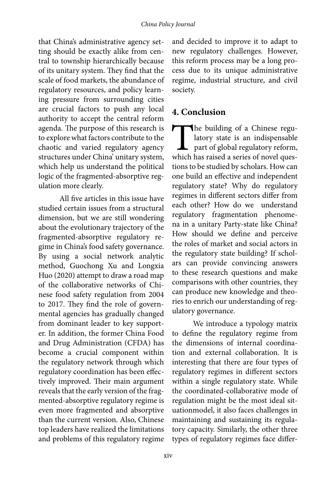that China's administrative agency setting should be exactly alike from central to township hierarchically because of its unitary system. They find that the scale of food markets, the abundance of regulatory resources, and policy learning pressure from surrounding cities are crucial factors to push any local authority to accept the central reform agenda. The purpose of this research is to explore what factors contribute to the chaotic and varied regulatory agency structures under China' unitary system, which help us understand the political logic of the fragmented-absorptive regulation more clearly.

All five articles in this issue have studied certain issues from a structural dimension, but we are still wondering about the evolutionary trajectory of the fragmented-absorptive regulatory regime in China's food safety governance. By using a social network analytic method, Guochong Xu and Longxia Huo (2020) attempt to draw a road map of the collaborative networks of Chinese food safety regulation from 2004 to 2017. They find the role of governmental agencies has gradually changed from dominant leader to key supporter. In addition, the former China Food and Drug Administration (CFDA) has become a crucial component within the regulatory network through which regulatory coordination has been effectively improved. Their main argument reveals that the early version of the fragmented-absorptive regulatory regime is even more fragmented and absorptive than the current version. Also, Chinese top leaders have realized the limitations and problems of this regulatory regime

and decided to improve it to adapt to new regulatory challenges. However, this reform process may be a long process due to its unique administrative regime, industrial structure, and civil society.

# **4. Conclusion**

The building of a Chinese regulatory state is an indispensable part of global regulatory reform, which has raised a series of novel queslatory state is an indispensable part of global regulatory reform, which has raised a series of novel questions to be studied by scholars. How can one build an effective and independent regulatory state? Why do regulatory regimes in different sectors differ from each other? How do we understand regulatory fragmentation phenomena in a unitary Party-state like China? How should we define and perceive the roles of market and social actors in the regulatory state building? If scholars can provide convincing answers to these research questions and make comparisons with other countries, they can produce new knowledge and theories to enrich our understanding of regulatory governance.

We introduce a typology matrix to define the regulatory regime from the dimensions of internal coordination and external collaboration. It is interesting that there are four types of regulatory regimes in different sectors within a single regulatory state. While the coordinated-collaborative mode of regulation might be the most ideal situationmodel, it also faces challenges in maintaining and sustaining its regulatory capacity. Similarly, the other three types of regulatory regimes face differ-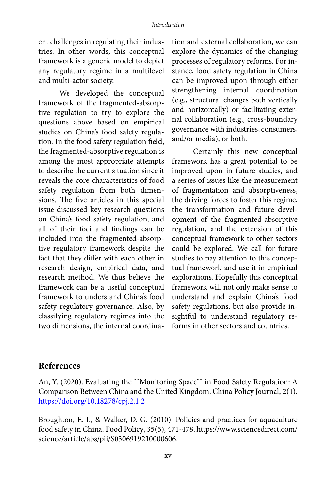ent challenges in regulating their industries. In other words, this conceptual framework is a generic model to depict any regulatory regime in a multilevel and multi-actor society.

We developed the conceptual framework of the fragmented-absorptive regulation to try to explore the questions above based on empirical studies on China's food safety regulation. In the food safety regulation field, the fragmented-absorptive regulation is among the most appropriate attempts to describe the current situation since it reveals the core characteristics of food safety regulation from both dimensions. The five articles in this special issue discussed key research questions on China's food safety regulation, and all of their foci and findings can be included into the fragmented-absorptive regulatory framework despite the fact that they differ with each other in research design, empirical data, and research method. We thus believe the framework can be a useful conceptual framework to understand China's food safety regulatory governance. Also, by classifying regulatory regimes into the two dimensions, the internal coordination and external collaboration, we can explore the dynamics of the changing processes of regulatory reforms. For instance, food safety regulation in China can be improved upon through either strengthening internal coordination (e.g., structural changes both vertically and horizontally) or facilitating external collaboration (e.g., cross-boundary governance with industries, consumers, and/or media), or both.

Certainly this new conceptual framework has a great potential to be improved upon in future studies, and a series of issues like the measurement of fragmentation and absorptiveness, the driving forces to foster this regime, the transformation and future development of the fragmented-absorptive regulation, and the extension of this conceptual framework to other sectors could be explored. We call for future studies to pay attention to this conceptual framework and use it in empirical explorations. Hopefully this conceptual framework will not only make sense to understand and explain China's food safety regulations, but also provide insightful to understand regulatory reforms in other sectors and countries.

### **References**

An, Y. (2020). Evaluating the ""Monitoring Space"" in Food Safety Regulation: A Comparison Between China and the United Kingdom. China Policy Journal, 2(1). [https://doi.org/10.18278/cpj.2.1.2](https://doi.org/10.18278/cpj.2.1.2 )

Broughton, E. I., & Walker, D. G. (2010). Policies and practices for aquaculture food safety in China. Food Policy, 35(5), 471-478. https://www.sciencedirect.com/ science/article/abs/pii/S0306919210000606.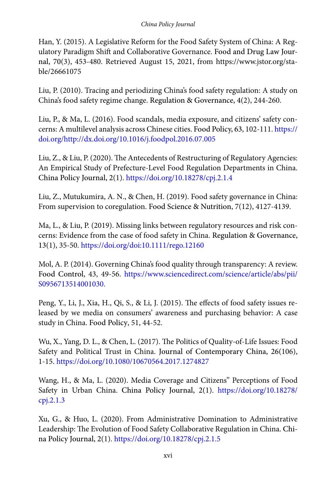### *China Policy Journal*

Han, Y. (2015). A Legislative Reform for the Food Safety System of China: A Regulatory Paradigm Shift and Collaborative Governance. Food and Drug Law Journal, 70(3), 453-480. Retrieved August 15, 2021, from https://www.jstor.org/stable/26661075

Liu, P. (2010). Tracing and periodizing China's food safety regulation: A study on China's food safety regime change. Regulation & Governance, 4(2), 244-260.

Liu, P., & Ma, L. (2016). Food scandals, media exposure, and citizens' safety concerns: A multilevel analysis across Chinese cities. Food Policy, 63, 102-111. [https://](https://doi.org/http://dx.doi.org/10.1016/j.foodpol.2016.07.005 ) [doi.org/http://dx.doi.org/10.1016/j.foodpol.2016.07.005](https://doi.org/http://dx.doi.org/10.1016/j.foodpol.2016.07.005 )

Liu, Z., & Liu, P. (2020). The Antecedents of Restructuring of Regulatory Agencies: An Empirical Study of Prefecture-Level Food Regulation Departments in China. China Policy Journal, 2(1). [https://doi.org/10.18278/cpj.2.1.4](https://doi.org/10.18278/cpj.2.1.4 )

Liu, Z., Mutukumira, A. N., & Chen, H. (2019). Food safety governance in China: From supervision to coregulation. Food Science & Nutrition, 7(12), 4127-4139.

Ma, L., & Liu, P. (2019). Missing links between regulatory resources and risk concerns: Evidence from the case of food safety in China. Regulation & Governance, 13(1), 35-50. [https://doi.org/doi:10.1111/rego.12160](https://doi.org/doi:10.1111/rego.12160 )

Mol, A. P. (2014). Governing China's food quality through transparency: A review. Food Control, 43, 49-56. [https://www.sciencedirect.com/science/article/abs/pii/](https://www.sciencedirect.com/science/article/abs/pii/S0956713514001030.) [S0956713514001030.](https://www.sciencedirect.com/science/article/abs/pii/S0956713514001030.)

Peng, Y., Li, J., Xia, H., Qi, S., & Li, J. (2015). The effects of food safety issues released by we media on consumers' awareness and purchasing behavior: A case study in China. Food Policy, 51, 44-52.

Wu, X., Yang, D. L., & Chen, L. (2017). The Politics of Quality-of-Life Issues: Food Safety and Political Trust in China. Journal of Contemporary China, 26(106), 1-15. [https://doi.org/10.1080/10670564.2017.1274827](https://doi.org/10.1080/10670564.2017.1274827 )

Wang, H., & Ma, L. (2020). Media Coverage and Citizens'' Perceptions of Food Safety in Urban China. China Policy Journal, 2(1). [https://doi.org/10.18278/](https://doi.org/10.18278/cpj.2.1.3 ) [cpj.2.1.3](https://doi.org/10.18278/cpj.2.1.3 )

Xu, G., & Huo, L. (2020). From Administrative Domination to Administrative Leadership: The Evolution of Food Safety Collaborative Regulation in China. China Policy Journal, 2(1). [https://doi.org/10.18278/cpj.2.1.5](https://doi.org/10.18278/cpj.2.1.5 )